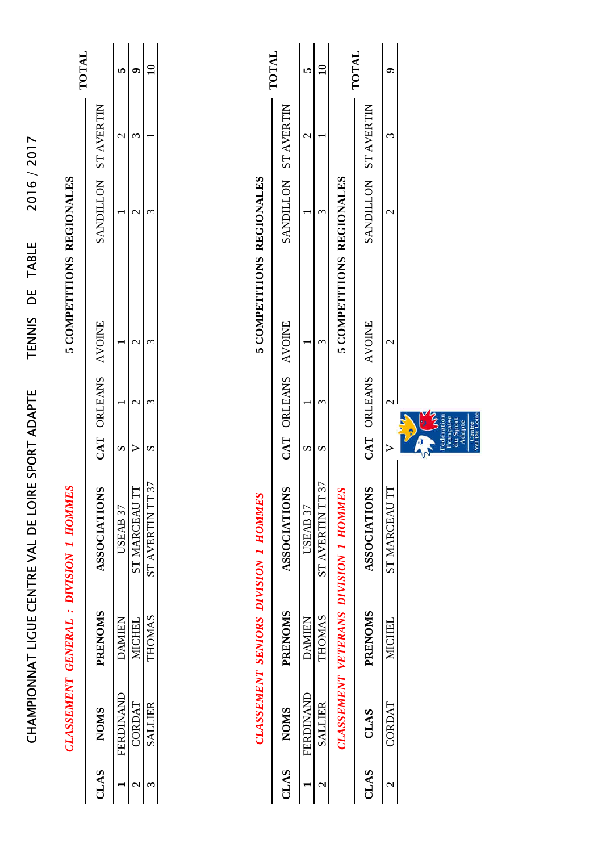| <b>INTOL</b>                          |                      |               |               |                |  |
|---------------------------------------|----------------------|---------------|---------------|----------------|--|
|                                       |                      |               |               |                |  |
|                                       | SANDILLON ST AVERTIN |               |               |                |  |
| 5 COMPETITIONS REGIONALES             |                      |               |               |                |  |
|                                       | CAT ORLEANS AVOINE   |               |               |                |  |
|                                       |                      |               |               |                |  |
| CLASSEMENT GENERAL : DIVISION I HOMME | <b>ASSOCIATIONS</b>  | USEAB 37      | ST MARCEAU T  | ST AVERTIN TT  |  |
|                                       | <b>PRENOMS</b>       | <b>DAMIEN</b> | <b>MICHEL</b> | THOMAS         |  |
|                                       | CLAS NOMS            | FERDINAND     | CORDAT        | <b>SALLIER</b> |  |
|                                       |                      |               |               |                |  |

CHAMPIONNAT LIGUE CENTRE VAL DE LOIRE SPORT ADAPTE TENNIS DE TABLE 2016 / 2017

CHAMPIONNAT LIGUE CENTRE VAL DE LOIRE SPORT ADAPTE

2016/2017

|                                             | TOTAL                | ın               |                     |                                      | <b>LATOT</b>         | 0             |                                                                            |
|---------------------------------------------|----------------------|------------------|---------------------|--------------------------------------|----------------------|---------------|----------------------------------------------------------------------------|
|                                             | SANDILLON ST AVERTIN | $\mathrel{\sim}$ |                     |                                      | SANDILLON ST AVERTIN | $\tilde{\xi}$ |                                                                            |
|                                             |                      |                  | 3                   |                                      |                      | $\mathcal{C}$ |                                                                            |
| 5 COMPETITIONS REGIONALES                   |                      |                  | 3                   | 5 COMPETITIONS REGIONALES            |                      | $\mathcal{C}$ |                                                                            |
|                                             | CAT ORLEANS AVOINE   |                  | 3                   |                                      | CAT ORLEANS AVOINE   | $\mathcal{C}$ | ξ<br>edération<br>Centre<br>Val De Loire<br>rançaise<br>du Sport<br>Adapté |
|                                             |                      | Ω                | S                   |                                      |                      |               |                                                                            |
| <b>CLASSEMENT SENIORS DIVISION 1 HOMMES</b> | <b>ASSOCIATIONS</b>  | USEAB 37         | 37<br>ST AVERTIN TT | CLASSEMENT VETERANS DIVISION 1 HOMME | <b>ASSOCIATIONS</b>  | ST MARCEAU TT |                                                                            |
|                                             | <b>PRENOMS</b>       | <b>DAMIEN</b>    | THOMAS              |                                      | PRENOMS              | <b>MICHEL</b> |                                                                            |
|                                             | <b>NOMS</b>          | FERDINAND        | <b>SALLIER</b>      |                                      | CLAS                 | CORDAT        |                                                                            |
|                                             | CLAS                 |                  |                     |                                      | CLAS                 |               |                                                                            |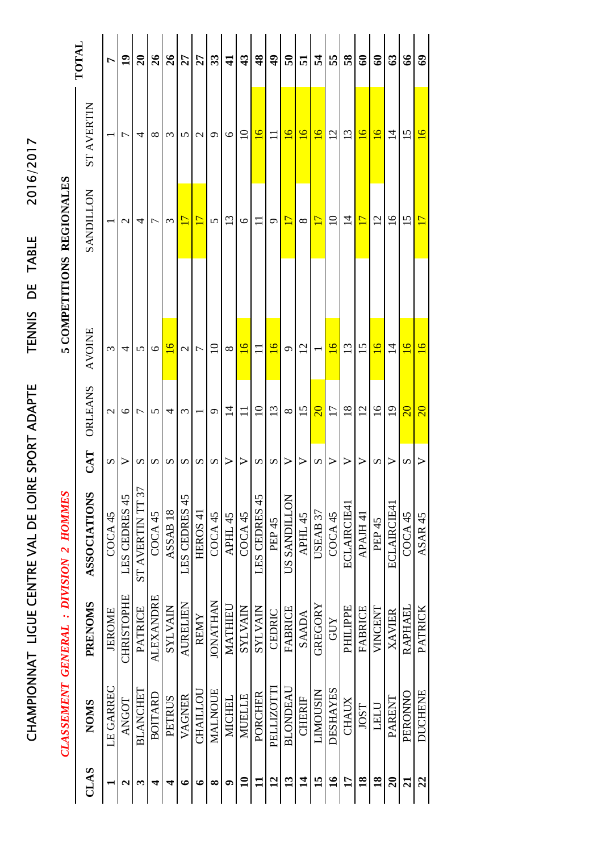|                                        | <b>TOTAL</b>        | r             | $\overline{1}$    | $\overline{20}$  | 26               | 26                  | 27              | 27                  | 33                 | $\mathbf{1}$       | $\boldsymbol{3}$   | $\frac{8}{3}$   | $\frac{1}{4}$     | $\overline{5}$   | 51             | 24              | 55                 | 58               | ತಿ              | $\mathbf{e}$      | $\mathfrak{S}$  | $\mathcal{L}$      | $\mathbf{e}$       |
|----------------------------------------|---------------------|---------------|-------------------|------------------|------------------|---------------------|-----------------|---------------------|--------------------|--------------------|--------------------|-----------------|-------------------|------------------|----------------|-----------------|--------------------|------------------|-----------------|-------------------|-----------------|--------------------|--------------------|
|                                        | <b>ST AVERTIN</b>   |               | ┌                 | 4                | ∞                | $\mathfrak{c}$      | 5               | $\mathbf{\sim}$     | ⌒                  | $\circ$            | $\Xi$              | $\overline{91}$ | $\equiv$          | $\overline{16}$  | $\overline{9}$ | $\overline{16}$ | $\overline{2}$     | $\mathfrak{L}$   | $\overline{6}$  | $\overline{6}$    | 그               | 15                 | $\overline{16}$    |
| 5 COMPETITIONS REGIONALES              | <b>SANDILLON</b>    |               | $\mathbf{\Omega}$ | 4                | Γ                | $\mathfrak{m}$      | $\overline{17}$ | $\overline{17}$     | $\mathbf{v}$       | 13                 | $\circ$            | $\Xi$           | Ō                 | 17               | $\infty$       | $\overline{17}$ | $\overline{10}$    | $\overline{1}$   | $\mathbf{1}$    | $\overline{c}$    | $\overline{16}$ | 15                 | $\overline{17}$    |
|                                        |                     |               |                   |                  |                  |                     |                 |                     |                    |                    |                    |                 |                   |                  |                |                 |                    |                  |                 |                   |                 |                    |                    |
|                                        | <b>AVOINE</b>       | $\epsilon$    | 4                 | n                | $\circ$          | $\overline{6}$      | $\mathcal{C}$   | Γ                   | $\Omega$           | $\infty$           | $\overline{16}$    | $\Box$          | $\overline{16}$   | $\sigma$         | $\overline{2}$ |                 | $\overline{6}$     | $\tilde{1}3$     | $\overline{15}$ | $\overline{6}$    | $\overline{4}$  | $\overline{6}$     | $\overline{16}$    |
|                                        | ORLEANS             | $\mathcal{L}$ | $\circ$           | 冖                | 5                | 4                   | 3               |                     | $\sigma$           | $\vec{a}$          |                    | $\overline{10}$ | 13                | $\infty$         | 15             | $\overline{20}$ | $\overline{17}$    | $\frac{8}{18}$   | $\overline{2}$  | $\frac{6}{1}$     | $\overline{19}$ | $\overline{20}$    | $\overline{20}$    |
|                                        | CAT                 | n             | >                 | S                | S                | S                   | S               | S                   | $\mathcal{D}$      | $\triangleright$   | $\triangleright$   | S               | S                 | $\triangleright$ | >              | S               | >                  | $\triangleright$ | ⋗               | S                 | ⋗               | S                  | ⋗                  |
| CLASSEMENT GENERAL : DIVISION 2 HOMMES | <b>ASSOCIATIONS</b> | COCA45        | LES CEDRES 45     | ST AVERTIN TT 37 | COCA45           | ASSAB <sub>18</sub> | LES CEDRES 45   | HEROS <sub>41</sub> | COCA <sub>45</sub> | APHL <sub>45</sub> | COCA <sub>45</sub> | LES CEDRES 45   | PEP <sub>45</sub> | US SANDILLON     | APHL 45        | USEAB 37        | COCA <sub>45</sub> | ECLAIRCIE41      | APAJH 41        | PEP <sub>45</sub> | ECLAIRCIE41     | COCA <sub>45</sub> | ASAR <sub>45</sub> |
|                                        | PRENOMS             | <b>JEROME</b> | <b>CHRISTOPHE</b> | <b>PATRICE</b>   | <b>ALEXANDRE</b> | <b>NIVATAS</b>      | <b>AURELIEN</b> | <b>REMY</b>         | <b>JONATHAN</b>    | MATHIEU            | <b>NIVATAS</b>     | <b>NIVAINS</b>  | CEDRIC            | <b>FABRICE</b>   | <b>SAADA</b>   | <b>GREGORY</b>  | <b>GUY</b>         | PHILIPPE         | <b>FABRICE</b>  | VINCENT           | <b>XAVIER</b>   | RAPHAEL            | <b>PATRICK</b>     |
|                                        | <b>NOMS</b>         | LE GARREC     | <b>ANGOT</b>      | <b>BLANCHET</b>  | BOITARD          | <b>PETRUS</b>       | VAGNER          | CHAILLOU            | <b>MALNOUE</b>     | <b>MICHEL</b>      | <b>MUELLE</b>      | PORCHER         | PELLIZOTTI        | <b>BLONDEAU</b>  | <b>CHERIF</b>  | LIMOUSIN        | <b>DESHAYES</b>    | <b>CHAUX</b>     | <b>IOST</b>     | LELU              | <b>PARENT</b>   | PERONNO            | <b>DUCHENE</b>     |
|                                        | CLAS                |               | N                 | ొ                | 4                | 4                   | €               | ∘                   | ∞                  | 0                  | $\mathbf{a}$       |                 | $\overline{12}$   | $\mathbf{13}$    | $\vec{a}$      | 15              | $\mathbf{a}$       | 17               | $\frac{8}{18}$  | $\frac{8}{10}$    | $\mathbf{S}$    | $\overline{z}$     | 22                 |

CHAMPIONNAT LIGUE CENTRE VAL DE LOIRE SPORT ADAPTE TENNIS DE TABLE 2016/2017

CHAMPIONNAT LIGUE CENTRE VAL DE LOIRE SPORT ADAPTE

2016/2017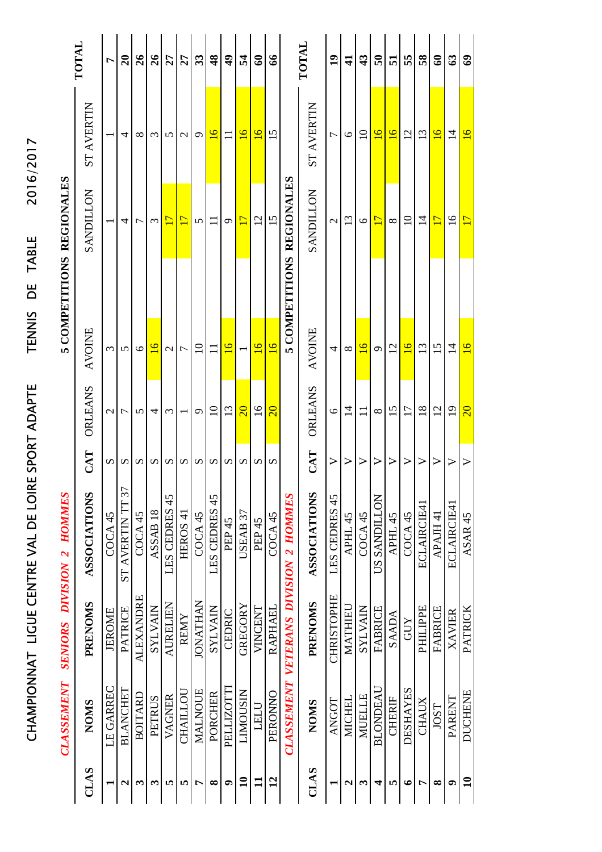|                                      |                           | TOTAL               | L                  | $\overline{a}$   | 26                 | 26                      | 27              | 27                    | 33              | $\frac{8}{3}$            | $\frac{6}{4}$     | 24              | $\mathbf{S}$      | $\mathcal{S}$      |                                       | TOTAL               | $\overline{1}$    | $\mathbf{\Xi}$           | $\boldsymbol{\mathcal{L}}$ | ິຈິ             | 51              | 55              | 58              | ತಿ                      | $\boldsymbol{\mathcal{S}}$ | ತಿ                      |
|--------------------------------------|---------------------------|---------------------|--------------------|------------------|--------------------|-------------------------|-----------------|-----------------------|-----------------|--------------------------|-------------------|-----------------|-------------------|--------------------|---------------------------------------|---------------------|-------------------|--------------------------|----------------------------|-----------------|-----------------|-----------------|-----------------|-------------------------|----------------------------|-------------------------|
| 2016/2017                            |                           | <b>ST AVERTIN</b>   |                    | 4                | ∞                  | $\mathfrak{c}$          | 5               | $\mathbf 2$           | C               | $\overline{6}$           |                   | $\overline{91}$ | $\overline{91}$   | 15                 |                                       | <b>ST AVERTIN</b>   | ٣                 | $\circ$                  | $\supseteq$                | $\overline{6}$  | $\overline{91}$ | $\overline{2}$  | $\overline{13}$ | $\overline{9}$          | $\vec{a}$                  | $\overline{6}$          |
|                                      | <b>REGIONALES</b>         | <b>SANDILLON</b>    |                    | 4                | ᡕ                  | 3                       | $\overline{17}$ | $\mathbf{L}$          | 5               |                          | Ó                 | $\overline{17}$ | 12                | 15                 | <b>REGIONALES</b>                     | NOTIUNVS            | $\mathcal{C}$     | $\overline{\mathcal{C}}$ | 6                          | Ľ               | $\infty$        | $\supseteq$     | $\vec{v}$       | $\overline{\mathbb{L}}$ | $\overline{16}$            | $\overline{\mathbb{L}}$ |
| <b>TABLE</b><br>ЪE                   | 5 COMPETITIONS            |                     |                    |                  |                    |                         |                 |                       |                 |                          |                   |                 |                   |                    | 5 COMPETITIONS                        |                     |                   |                          |                            |                 |                 |                 |                 |                         |                            |                         |
| <b>TENNIS</b>                        |                           | AVOINE              | Σ                  | 5                | ৩                  | $\overline{\mathsf{c}}$ | $\mathcal{L}$   | 7                     | $\Xi$           | $\overline{\phantom{0}}$ | $\overline{16}$   |                 | $\overline{16}$   | $\overline{16}$    |                                       | <b>AVOINE</b>       | 4                 | $\infty$                 | $\overline{6}$             | $\sigma$        | $\overline{c}$  | $\overline{6}$  | 13              | $\overline{15}$         | $\vec{a}$                  | $\overline{16}$         |
| SPORT ADAPTE                         |                           | ORLEANS             | $\mathcal{C}$      | ┌                | 5                  | 4                       | Σ               |                       | Ō               | $\Omega$                 | 13                | $\overline{20}$ | $\overline{16}$   | $\overline{20}$    |                                       | ORLEANS             | $\circ$           | 그                        |                            | $\infty$        | 15              | 17              | $\frac{8}{18}$  | $\overline{2}$          | $\overline{19}$            | $\overline{20}$         |
| Щ                                    |                           | $\mathbf{CAT}$      | S                  | S                | n                  | S                       | S               | $\boldsymbol{\Omega}$ | S               | S                        | S                 | S               | S                 | S                  |                                       | CAT                 | ➢                 |                          | $\triangleright$           | ➢               | ➢               | ⋗               | >               | ➢                       |                            |                         |
| CHAMPIONNAT LIGUE CENTRE VAL DE LOIR | SENIORS DIVISION 2 HOMMES | <b>ASSOCIATIONS</b> | COCA <sub>45</sub> | ST AVERTIN TT 37 | COCA <sub>45</sub> | ASSAB <sub>18</sub>     | LES CEDRES 45   | HEROS <sub>4</sub>    | COCA45          | LES CEDRES 45            | PEP <sub>45</sub> | USEAB 37        | PEP <sub>45</sub> | COCA <sub>45</sub> | CLASSEMENT VETERANS DIVISION 2 HOMMES | <b>ASSOCIATIONS</b> | LES CEDRES 45     | APHL 45                  | COCA <sub>45</sub>         | US SANDILLON    | APHL 45         | COCA45          | ECLAIRCIE41     | APAJH 41                | ECLAIRCIE41                | ASAR 45                 |
|                                      |                           | PRENOMS             | <b>JEROME</b>      | <b>PATRICE</b>   | <b>ALEXANDRE</b>   | <b>NIVATAS</b>          | <b>AURELIEN</b> | <b>REMY</b>           | <b>IONATHAN</b> | <b>NIVATAS</b>           | CEDRIC            | GREGORY         | VINCENT           | <b>RAPHAEL</b>     |                                       | <b>PRENOMS</b>      | <b>CHRISTOPHE</b> | MATHIEU                  | <b>NIVAINS</b>             | <b>FABRICE</b>  | <b>SAADA</b>    | GUY             | <b>PHILIPPE</b> | FABRICE                 | <b>XAVIER</b>              | PATRICK                 |
|                                      | <b>CLASSEMENT</b>         | <b>NOMS</b>         | LE GARREC          | <b>BLANCHET</b>  | <b>BOITARD</b>     | PETRUS                  | VAGNER          | <b>CHAILLOL</b>       | MALNOUE         | PORCHER                  | PELLIZOTTI        | LIMOUSIN        | LELU              | PERONNO            |                                       | <b>NOMS</b>         | <b>ANGOT</b>      | <b>MICHEI</b>            | MUELLE                     | <b>BLONDEAL</b> | <b>CHERIF</b>   | <b>DESHAYES</b> | <b>CHAUX</b>    | JOST                    | PARENT                     | <b>DUCHENE</b>          |
|                                      |                           | CLAS                |                    | 2                | 3                  | ω                       | 5               | S                     | Ļ               | ∞                        | ۵                 | $\mathbf{10}$   | $\mathbf{u}$      | $\overline{12}$    |                                       | CLAS                |                   | $\mathbf{\mathsf{a}}$    | 3                          | 4               | n               | $\bullet$       | Ļ               | ∞                       | ۹                          | $\mathbf{10}$           |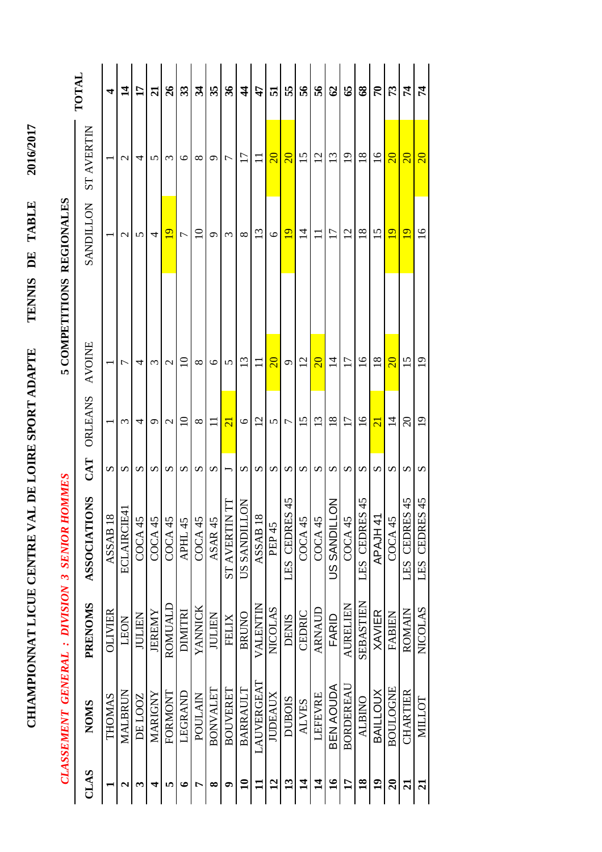|                                               | TOTAL                   | 4                   | $\mathbf{1}$      | $\mathbf{17}$ | $\overline{z}$ | $\frac{26}{5}$ | 33          | रु       | 35                 | 36                          | $\frac{4}{4}$          | $\mathbf{f}$                   | 51                      | 55                      | 95             | $\mathbf{95}$           | $\mathcal{O}$   | 65              | $\boldsymbol{\mathcal{S}}$ | $\mathcal{L}$              | 73                      | 74                           | 74                           |
|-----------------------------------------------|-------------------------|---------------------|-------------------|---------------|----------------|----------------|-------------|----------|--------------------|-----------------------------|------------------------|--------------------------------|-------------------------|-------------------------|----------------|-------------------------|-----------------|-----------------|----------------------------|----------------------------|-------------------------|------------------------------|------------------------------|
|                                               | <b>ST AVERTIN</b>       |                     | $\mathcal{L}$     | 4             | n              | $\epsilon$     | $\circ$     | ∞        | ç                  | 7                           | $\overline{17}$        | Ξ                              | $\overline{\mathbb{S}}$ | $\overline{\mathbf{S}}$ | 15             | 12                      | $\overline{13}$ | $\overline{19}$ | $\frac{8}{18}$             | $\overline{16}$            | $\overline{\mathbf{S}}$ | $\overline{\mathbf{S}}$      | $\overline{\mathbf{S}}$      |
| 5 COMPETITIONS REGIONALES                     | <b>SANDILLON</b>        |                     | $\mathbf{\Omega}$ | 5             | 4              | $\overline{9}$ | Γ           | $\Xi$    | Ó                  | $\omega$                    | ∞                      | $\mathfrak{S}$                 | $\circ$                 | $\overline{9}$          | $\overline{4}$ |                         | $\overline{17}$ | $\overline{2}$  | $\frac{8}{18}$             | 15                         | $\overline{9}$          | $\overline{9}$               | $\overline{16}$              |
|                                               |                         |                     |                   |               |                |                |             |          |                    |                             |                        |                                |                         |                         |                |                         |                 |                 |                            |                            |                         |                              |                              |
|                                               | <b>AVOINE</b>           |                     | $\overline{ }$    | 4             | $\epsilon$     | $\mathcal{C}$  | $\supseteq$ | ∞        | $\circ$            | 5                           | 13                     | Ξ                              | $\overline{\mathbf{S}}$ | G                       | 12             | $\overline{\mathbf{S}}$ | $\vec{v}$       | $\Box$          | $\overline{0}$             | $\overline{18}$            | $\overline{\mathbf{S}}$ | 15                           | $\overline{1}$               |
|                                               | ORLEANS                 |                     | $\epsilon$        | 4             | ᡋ              | $\mathcal{C}$  | $\Omega$    | $\infty$ | $\Box$             | $\overline{\mathbf{c}}$     | $\circ$                | $\overline{c}$                 | 5                       | Γ                       | 15             | 13                      | $\frac{8}{18}$  | $\overline{17}$ | $\overline{16}$            | $\overline{21}$            | $\overline{4}$          | $\Omega$                     | $\overline{19}$              |
|                                               | CAT                     | S                   | S                 | S             | S              | S              | S           | S        | $\mathcal{D}$      |                             | S                      | S                              | $\Omega$                | S                       | S              | $\boldsymbol{\Omega}$   | S               | S               | S                          | $\boldsymbol{\mathcal{D}}$ | S                       | S                            | S                            |
| CLASSEMENT GENERAL : DIVISION 3 SENIOR HOMMES | <b>ONS</b><br>ASSOCIATI | ASSAB <sub>18</sub> | ECLAIRCIE41       | COCA45        | COCA 45        | COCA45         | APHL 45     | COCA45   | ASAR <sub>45</sub> | $\Box$<br><b>ST AVERTIN</b> | Š<br><b>US SANDILI</b> | $\infty$<br>ASSAB <sub>1</sub> | PEP 45                  | 45<br>LES CEDRES        | COCA45         | COCA 45                 | ξ<br>US SANDILI | COCA 45         | 45<br>LES CEDRES           | APAJH 4                    | COCA 45                 | $\frac{45}{5}$<br>LES CEDRES | $\frac{45}{5}$<br>LES CEDRES |
|                                               | <b>PRENOMS</b>          | <b>OLIVIER</b>      | LEON              | <b>JULIEN</b> | <b>JEREMY</b>  | ROMUALD        | DIMITRI     | YANNICK  | JULIEN             | FELIX                       | <b>BRUNO</b>           | VALENTIN                       | <b>NICOLAS</b>          | <b>DENIS</b>            | CEDRIC         | ARNAUD                  | FARID           | <b>AURELIEN</b> | <b>SEBASTIEN</b>           | <b>XAVIER</b>              | FABIEN                  | ROMAIN                       | <b>NICOLAS</b>               |
|                                               | <b>NOMS</b>             | THOMAS              | MALBRUN           | DE LOOZ       | <b>MARIGNY</b> | FORMONT        | LEGRAND     | POULAIN  | <b>BONVALET</b>    | BOUVERET                    | BARRAULT               | LAUVERGEAT                     | <b>JUDEAUX</b>          | <b>DUBOIS</b>           | <b>ALVES</b>   | LEFEVRE                 | BEN AOUDA       | BORDEREAU       | <b>ALBINO</b>              | <b>BAILLOUX</b>            | <b>BOULOGNE</b>         | <b>CHARTIER</b>              | <b>NILLOT</b>                |
|                                               | CLAS                    |                     | $\mathbf{a}$      | ొ             |                | ın             | ی           |          | ∞                  | σ                           | $\mathbf{u}$           | □                              | $\overline{a}$          | $\mathbf{C}$            | $\vec{a}$      | $\vec{a}$               | $\mathbf{S}$    | 17              | $\overline{\mathbf{8}}$    | $\overline{19}$            | $\overline{20}$         | ត                            | $\overline{z}$               |

**CHIAMPIONNAT LICUE CENTRE VAL DE LOIRE SPORT ADAPTE TENNIS DE TABLE 2016/2017**

CHIAMPIONNAT LICUE CENTRE VAL DE LOIRE SPORT ADAPTE

2016/2017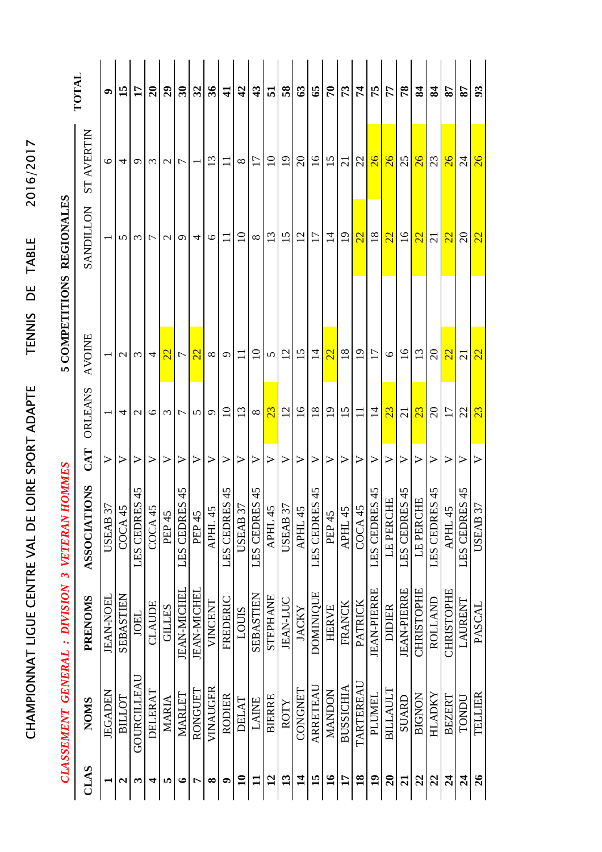|                                         | TOTAL                          | $\bullet$          | 15               | $\mathbf{1}$      | 20               | $\overline{29}$  | $\overline{\mathbf{30}}$     | 32                 | 36                | $\mathbf{1}$     | 42                                                                                                         | $\boldsymbol{3}$ | 51                 | $\overline{\mathbf{58}}$            | 63                    | 65               | $\mathbf{r}$     | 73                                              | 74                      | 75                 | 77              | 78                 | 84                | 84                                    | 78                | 78               | 93              |
|-----------------------------------------|--------------------------------|--------------------|------------------|-------------------|------------------|------------------|------------------------------|--------------------|-------------------|------------------|------------------------------------------------------------------------------------------------------------|------------------|--------------------|-------------------------------------|-----------------------|------------------|------------------|-------------------------------------------------|-------------------------|--------------------|-----------------|--------------------|-------------------|---------------------------------------|-------------------|------------------|-----------------|
|                                         | <b>ST AVERTIN</b>              | 6                  | 4                | ᡋ                 | $\epsilon$       | $\mathcal{C}$    | $\overline{ }$               |                    | 13                | $\Box$           | $\infty$                                                                                                   | $\overline{17}$  | $\overline{10}$    | $\overline{19}$                     | $\Omega$              | $\frac{6}{1}$    | 15               | $\overline{21}$                                 | 22                      | 26                 | $\overline{26}$ | 25                 | $\overline{26}$   | 23                                    | $\overline{26}$   | $\overline{24}$  | $\overline{26}$ |
| 5 COMPETITIONS REGIONALES               | <b>SANDILLON</b>               |                    | $\sigma$         | ξ                 | $\overline{ }$   | $\mathcal{L}$    | $\sigma$                     | 4                  | $\circ$           | $\Box$           | $\overline{10}$                                                                                            | $\infty$         | $\mathfrak{L}$     | 15                                  | $\overline{2}$        | $\overline{17}$  | $\overline{4}$   | $\overline{1}$                                  | $\overline{\mathbb{Z}}$ | $\overline{18}$    | 22              | $\overline{16}$    | 22                | $\overline{\Omega}$                   | $\overline{22}$   | $\Omega$         | $\overline{22}$ |
|                                         |                                |                    |                  |                   |                  |                  |                              |                    |                   |                  |                                                                                                            |                  |                    |                                     |                       |                  |                  |                                                 |                         |                    |                 |                    |                   |                                       |                   |                  |                 |
|                                         | <b>AVOINE</b>                  |                    | $\mathcal{L}$    | $\mathfrak{c}$    | 4                | $\overline{2}$   | $\overline{ }$               | $\overline{2}$     | ${}^{\circ}$      | $\sigma$         | $\Box$                                                                                                     | $\Omega$         | 5                  | 12                                  | 15                    | $\overline{4}$   | $\overline{2}$   | $\frac{8}{18}$                                  | $\overline{1}$          | $\overline{17}$    | $\circ$         | $\overline{16}$    | 13                | $\Omega$                              | $\overline{2}$    | $\overline{c}$   | $\overline{2}$  |
|                                         | <b>ORLEANS</b>                 |                    | 4                | $\mathbf{\Omega}$ | $\circ$          | $\epsilon$       | 7                            | 5                  | $\sigma$          | $\overline{10}$  | 13                                                                                                         | $\infty$         | 23                 | 12                                  | $\overline{16}$       | $\overline{18}$  | $\overline{19}$  | 15                                              |                         | $\overline{1}$     | 23              | $\overline{c}$     | 23                | $\Omega$                              | 17                | 22               | 23              |
|                                         | CAT                            | $\triangleright$   | $\triangleright$ | $\triangleright$  | $\triangleright$ | $\triangleright$ | $\triangleright$             | $\triangleright$   | $\triangleright$  | $\triangleright$ | $\triangleright$                                                                                           | $\triangleright$ | $\triangleright$   | $\triangleright$                    | $\blacktriangleright$ | $\triangleright$ | $\triangleright$ | $\triangleright$                                | >                       | $\triangleright$   | ➢               | $\triangleright$   | >                 | $\triangleright$                      | >                 | $\triangleright$ | ⋗               |
| <b>HOMMES</b>                           | <b>TONS</b><br><b>ASSOCIAT</b> | 37<br><b>USEAB</b> | COCA45           | 45<br>LES CEDRES  | C OCA 45         |                  | 45<br>PEP 45<br>LES CEDRES 4 |                    | PEP 45<br>APHL 45 | 45               | $\frac{\text{LES} \hspace{0.1cm} \text{CEDRES} \hspace{0.1cm} \text{LBS}}{\text{USEAB} \hspace{0.1cm} 37}$ | 45<br>LES CEDRES | APHL <sub>45</sub> | JSEAB 37<br>APHL 45<br><b>USEAB</b> |                       | 45               | LES CEDRES       | $\frac{\overline{\text{AFH1}}}{\text{COCA}}$ 45 |                         | LES CEDRES 45      | LE PERCHE       | LES CEDRES 45      | LE PERCHE         | 45<br>S CEDRES<br>APHL 45<br>LES CEDR |                   | 45<br>LES CEDRES |                 |
| CLASSEMENT GENERAL : DIVISION 3 VETERAN | <b>PRENOMS</b>                 | <b>JEAN-NOEL</b>   | SEBASTIEN        | <b>JOEL</b>       | CLAUDE           | <b>GILLES</b>    | <b>JEAN-MICHEL</b>           | <b>JEAN-MICHEL</b> | VINCENT           | FREDERIC         | LOUIS                                                                                                      | SEBASTIEN        | STEPHANE           | <b>JEAN-LUC</b>                     | <b>JACKY</b>          | <b>DOMINIQUE</b> | <b>HERVE</b>     | FRANCK                                          | <b>PATRICK</b>          | <b>JEAN-PIERRE</b> | <b>DIDIER</b>   | <b>JEAN-PIERRE</b> | <b>CHRISTOPHE</b> | ROLLAND                               | <b>CHRISTOPHE</b> | LAURENT          | <b>PASCAL</b>   |
|                                         | <b>NOMS</b>                    | JEGADEN            | BILLOT           | GOURCILLEAU       | DELERAT          | MARIA            | MARLET                       | RONGUET            | VINAUGER          | RODIER           | <b>DELAT</b>                                                                                               | <b>LAINE</b>     | <b>BIERRE</b>      | ROTY                                | CONGNET               | ARRETEAU         | <b>MANDON</b>    | <b>BUSSICHIA</b>                                | TARTEREAU               | PLUMEL             | <b>BILLAULT</b> | SUARD              | <b>BIGNON</b>     | HLADKY                                | <b>BEZERT</b>     | TONDU            | TELLIER         |
|                                         | CLAS                           |                    | N                | $\bm{\epsilon}$   | 4                | m                | $\bullet$                    | Ļ                  | ∞                 | ๑                | $\mathbf{u}$                                                                                               | $\mathbf{1}$     | $\overline{12}$    | $\mathbf{13}$                       | $\vec{a}$             | 15               | $\mathbf{16}$    | $\mathbf{1}$                                    | $\overline{18}$         | $\overline{19}$    | $\overline{20}$ | $\overline{21}$    | 22                | 22                                    | $\overline{24}$   | $\mathbf{z}_4$   | 26              |

CHAMPIONNAT LIGUE CENTRE VAL DE LOIRE SPORT ADAPTE TENNIS DE TABLE 2016/2017

CHAMPIONNAT LIGUE CENTRE VAL DE LOIRE SPORT ADAPTE

2016/2017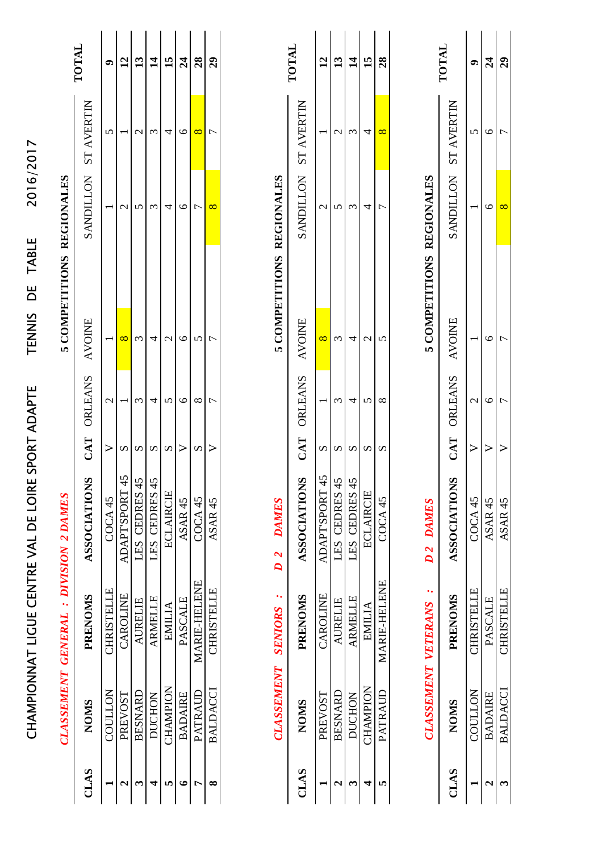|                       |                            |                                             | CHAMPIONNAT LIGUE CENTRE VAL DE LOIRE |                       | SPORT ADAPTE   | $\overline{D}$<br><b>TENNIS</b> | TABLE             | 2016/2017            |                            |
|-----------------------|----------------------------|---------------------------------------------|---------------------------------------|-----------------------|----------------|---------------------------------|-------------------|----------------------|----------------------------|
|                       |                            | <b>CLASSEMENT GENERAL: DIVISION 2 DAMES</b> |                                       |                       |                | 5 COMPETITIONS REGIONALES       |                   |                      |                            |
| CLAS                  | <b>NOMS</b>                | <b>PRENOMS</b>                              | <b>ASSOCIATIONS</b>                   | CAT                   | <b>ORLEANS</b> | <b>AVOINE</b>                   | <b>SANDILLON</b>  | <b>AVERTIN</b><br>ST | TOTAL                      |
|                       | COULLON                    | <b>CHRISTELLE</b>                           | COCA45                                | $\triangleright$      | $\mathcal{L}$  |                                 |                   | $\mathbf{v}$         | ື                          |
| $\boldsymbol{\sim}$   | PREVOST                    | CAROLINE                                    | <b>ADAPT'SPORT 45</b>                 | S                     |                | 8                               | $\mathcal{C}$     |                      | $\overline{2}$             |
| ణ                     | <b>BESNARD</b>             | <b>AURELIE</b>                              | LES CEDRES 45                         | S                     | $\omega$       | $\omega$                        | 5                 | $\mathcal{C}$        | $\mathbf{r}$               |
| 4                     | <b>DUCHON</b>              | <b>ARMELLE</b>                              | LES CEDRES 45                         | $\mathbf{v}$          | 4              | 4                               | $\omega$          | $\mathfrak{g}$       | $\vec{a}$                  |
| m                     | CHAMPION                   | EMILIA                                      | ECLAIRCIE                             | S                     | 5              | $\mathbf{\sim}$                 | 4                 | 4                    | 15                         |
| $\bullet$             | <b>BADAIRE</b>             | PASCALE                                     | ASAR <sub>45</sub>                    | ⋗                     | ७              | ७                               | ७                 | ७                    | $\mathcal{Z}$              |
| r                     | PATRAUD                    | <b>MARIE-HELENE</b>                         | COCA45                                | $\boldsymbol{\Omega}$ | $\infty$       | n                               | 7                 | $\infty$             | $\boldsymbol{38}$          |
| ∞                     | <b>BALDACCI</b>            | <b>CHRISTELLE</b>                           | ASAR <sub>45</sub>                    | ⋗                     | $\overline{ }$ | 冖                               | $\infty$          | 冖                    | $\boldsymbol{\mathcal{E}}$ |
|                       | <b>CLASSEMENT</b>          | <b>SENIORS</b>                              | <b>DAMES</b><br>$\overline{D}$ 2      |                       |                | 5 COMPETITIONS                  | <b>REGIONALES</b> |                      |                            |
| CLAS                  | <b>NOMS</b>                | <b>PRENOMS</b>                              | <b>ASSOCIATIONS</b>                   | CAT                   | <b>ORLEANS</b> | <b>AVOINE</b>                   | <b>SANDILLON</b>  | <b>AVERTIN</b><br>ST | TOTAL                      |
|                       | PREVOST                    | CAROLINE                                    | ADAPT'SPORT 45                        | S                     |                | $\infty$                        | $\mathbf{\Omega}$ |                      | $\mathbf{r}$               |
| $\mathbf{\mathbf{a}}$ | BESNARD                    | <b>AURELIE</b>                              | LES CEDRES 45                         | S                     | $\omega$       | $\epsilon$                      | 5                 | $\mathbf 2$          | $\mathbf{13}$              |
| ొ                     | <b>DUCHON</b>              | <b>ARMELLE</b>                              | LES CEDRES 45                         | S                     | 4              | 4                               | $\omega$          | $\sim$               | $\overline{\mathbf{u}}$    |
| 4                     | <b>CHAMPION</b>            | EMILIA                                      | <b>ECLAIRCIE</b>                      | S                     | $\mathbf{v}$   | $\mathbf{\Omega}$               | 4                 | 4                    | 15                         |
| n                     | PATRAUD                    | <b>MARIE-HELENE</b>                         | COCA <sub>45</sub>                    | S                     | $\infty$       | $\Omega$                        | ٣                 | $\infty$             | $\overline{28}$            |
|                       | <b>CLASSEMENT VETERANS</b> |                                             | D2 DAMES                              |                       |                | 5 COMPETITIONS REGIONALES       |                   |                      |                            |
|                       |                            | ٠.                                          |                                       |                       |                |                                 |                   |                      | TOTAL                      |

| SANDILLON ST AVERTIN                     |                                                                      |
|------------------------------------------|----------------------------------------------------------------------|
|                                          | <b>AVOINE</b><br>CAT ORLEANS<br><b>ASSOCIATION</b><br><b>PRENOMS</b> |
|                                          |                                                                      |
|                                          | <b>CHRISTELLE</b>                                                    |
|                                          |                                                                      |
| ASAR 45                                  | PASCALE                                                              |
| COCA <sub>45</sub>                       |                                                                      |
|                                          |                                                                      |
|                                          |                                                                      |
| <b>BADAIRE</b><br>COULLON<br><b>NOMS</b> |                                                                      |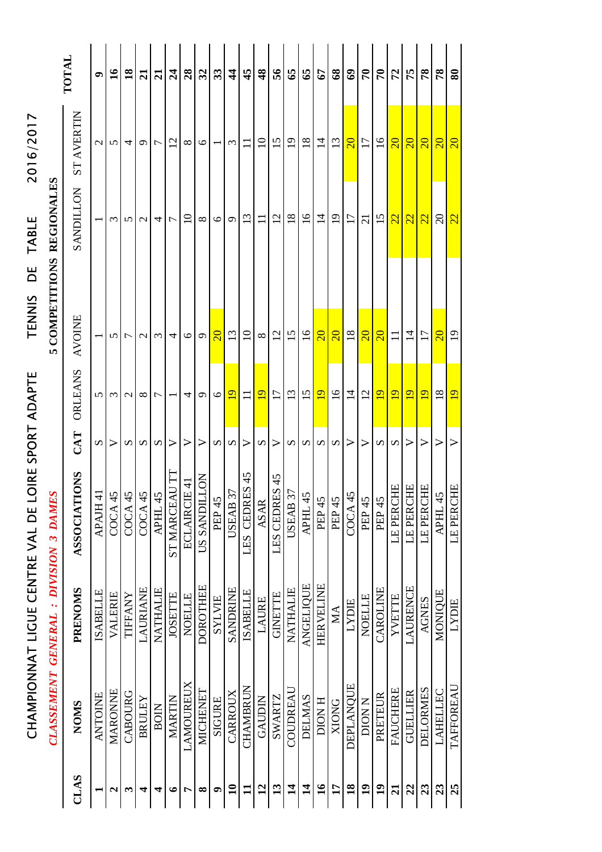|                                 |                                       | TOTAL                   | $\bullet$             | $\mathbf{16}$           | $\overline{18}$              | $\overline{21}$ | $\overline{21}$                           | $\mathbf{z}_4$   | 28                            | 32                | 33                | $\frac{4}{4}$                  | $\frac{4}{5}$    | $\frac{8}{3}$         | 56               | 65                      | 65                                  | 67               | $\pmb{68}$      | $\mathbf{e}$     | $\mathcal{F}$   | $\mathcal{L}$     | 72              | 75               | 78              | 78                     | $\boldsymbol{80}$       |
|---------------------------------|---------------------------------------|-------------------------|-----------------------|-------------------------|------------------------------|-----------------|-------------------------------------------|------------------|-------------------------------|-------------------|-------------------|--------------------------------|------------------|-----------------------|------------------|-------------------------|-------------------------------------|------------------|-----------------|------------------|-----------------|-------------------|-----------------|------------------|-----------------|------------------------|-------------------------|
| 2016/2017                       |                                       | <b>ST AVERTIN</b>       | $\mathcal{L}$         | 5                       | 4                            | Ó               | ┌                                         | $\overline{c}$   | ${}^{\circ}$                  | $\circ$           |                   | $\epsilon$                     |                  | $\Omega$              | $\overline{5}$   | $\overline{1}$          | $\overline{18}$                     | $\overline{1}$   | $\mathfrak{L}$  | $\overline{20}$  | $\overline{17}$ | $\overline{0}$    | $\overline{20}$ | $\overline{20}$  | $\overline{20}$ | $\overline{20}$        | $\overline{\mathbf{S}}$ |
| <b>TABLE</b>                    | <b>REGIONALES</b>                     | NOTIUNES                |                       | $\omega$                | n                            | $\mathbf 2$     | 4                                         | 7                | $\Xi$                         | $\infty$          | $\circ$           | $\sigma$                       | 13               | $\Box$                | $\overline{12}$  | 18                      | $\overline{16}$                     | $\overline{1}$   | $\overline{19}$ | $\overline{1}$   | $\overline{c}$  | 15                | 22              | 22               | $\overline{22}$ | $\Omega$               | 22                      |
| ЪE<br>TENNIS                    | COMPETITIONS                          |                         |                       |                         |                              |                 |                                           |                  |                               |                   |                   |                                |                  |                       |                  |                         |                                     |                  |                 |                  |                 |                   |                 |                  |                 |                        |                         |
|                                 | Ιn.                                   | <b>AVOINE</b>           |                       | 5                       | ↽                            | $\mathcal{C}$   | $\epsilon$                                | 4                | $\circ$                       | $\mathbf{\Omega}$ | $\overline{20}$   | 13                             | $\overline{10}$  | $\infty$              | $\overline{2}$   | 15                      | $\overline{16}$                     | $\overline{20}$  | $\overline{20}$ | 18               | $\overline{20}$ | $\overline{20}$   |                 | $\overline{1}$   | $\overline{17}$ | $\overline{20}$        | $\Xi$                   |
| OIRE SPORT ADAPTE               |                                       | ORLEANS                 | 5                     | $\mathfrak{c}$          | $\mathbf{\sim}$              | $\infty$        | 冖                                         |                  | 4                             | $\sigma$          | $\circ$           | $\overline{19}$                |                  | $\overline{19}$       | 17               | 13                      | $\overline{15}$                     | $\overline{19}$  | $\overline{16}$ | $\overline{1}$   | 12              | $\overline{19}$   | $\overline{19}$ | $\overline{19}$  | $\overline{9}$  | 18                     | $\overline{19}$         |
|                                 |                                       | CAT                     | S                     | ⋗                       | S                            | S               | S                                         | $\triangleright$ | ➢                             | >                 | S                 | S                              | >                | $\boldsymbol{\Omega}$ | $\triangleright$ | $\Omega$                | $\boldsymbol{\omega}$               | S                | S               | $\triangleright$ | ➢               | S                 | S               | $\triangleright$ | ➢               | $\triangleright$       | ➢                       |
|                                 |                                       | TONS<br><b>ASSOCIAT</b> | $\pm$<br><b>APAJH</b> | $\overline{6}$<br>COCA4 | $\overline{\omega}$<br>COCA4 | COCA4           | $\overline{\Omega}$   $\Omega$<br>APHL 4. | ST MARCEAU TT    | <b>E41</b><br><b>ECLAIRCI</b> | US SANDILLON      | PEP <sub>45</sub> | $\mathfrak{Z}$<br><b>USEAB</b> | 45<br>LES CEDRES | <b>ASAR</b>           | 45<br>LES CEDRES | <b>USEAB</b>            | $\frac{27}{5}$<br>APHL <sub>4</sub> | PEP 45           | PEP 45          | COCA45           | PEP 45          | PEP <sub>45</sub> | HE<br>LE PERC   | LE PERCHE        | HE<br>LE PERC   | Ù<br>APHL <sub>4</sub> | 臣<br>LE PERC            |
| CHAMPIONNAT LIGUE CENTRE VAL DE | CLASSEMENT GENERAL : DIVISION 3 DAMES | PRENOMS                 | <b>ISABELLE</b>       | VALERIE                 | TIFFANY                      | LAURIANE        | NATHALIE                                  | <b>JOSETTE</b>   | <b>NOELLE</b>                 | <b>DOROTHEE</b>   | <b>SYLVIE</b>     | <b>SANDRINE</b>                | <b>ISABELLE</b>  | LAURE                 | <b>GINETTE</b>   | <b>NATHALIE</b>         | <b>ANGELIQUE</b>                    | <b>HERVELINE</b> | МA              | <b>LYDIE</b>     | <b>NOELLE</b>   | CAROLINE          | YVETTE          | <b>LAURENCE</b>  | <b>AGNES</b>    | MONIQUE                | <b>LYDIE</b>            |
|                                 |                                       | <b>NOMS</b>             | <b>ANTOINE</b>        | MARONNE                 | CABOURG                      | BRULEY          | <b>BOIN</b>                               | <b>MARTIN</b>    | <b>LAMOUREUX</b>              | MICHENET          | <b>SIGURE</b>     | CARROUX                        | <b>CHAMBRUN</b>  | <b>GAUDIN</b>         | <b>SWARTZ</b>    | COUDREAU                | <b>DELMAS</b>                       | <b>H</b> NOID    | <b>XIONG</b>    | DEPLANOUE        | N NOIO          | PRETEUR           | <b>FAUCHERE</b> | <b>GUELLIER</b>  | <b>DELORMES</b> | LAHELLEC               | TAFFOREAU               |
|                                 |                                       | CLAS                    |                       | N                       | ొ                            | 4               | 4                                         | ∘                | r                             | ∞                 | ๑                 | $\mathbf{a}$                   | $\mathbf{1}$     | $\overline{2}$        | $\mathbf{13}$    | $\overline{\mathbf{1}}$ | $\vec{a}$                           | $\mathbf{16}$    | $\mathbf{1}$    | $\overline{18}$  | $\overline{19}$ | $\overline{1}$    | $\overline{a}$  | 22               | 23              | 23                     | 25                      |